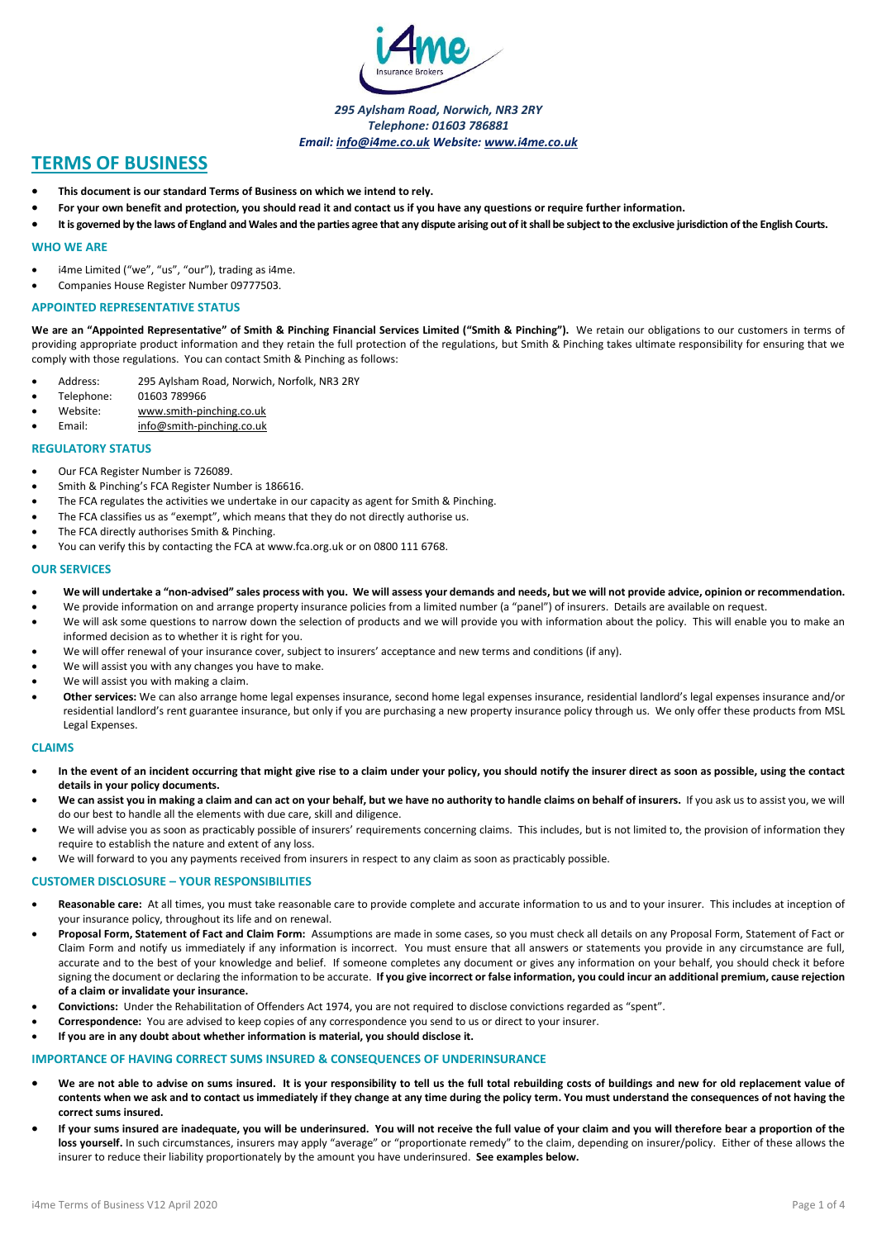

*295 Aylsham Road, Norwich, NR3 2RY Telephone: 01603 786881 Email: info@i4me.co.uk Website: www.i4me.co.uk*

# **TERMS OF BUSINESS**

- **This document is our standard Terms of Business on which we intend to rely.**
- **For your own benefit and protection, you should read it and contact us if you have any questions or require further information.**
- **It is governed by the laws of England and Wales and the parties agree that any dispute arising out of it shall be subject to the exclusive jurisdiction of the English Courts.**

## **WHO WE ARE**

- i4me Limited ("we", "us", "our"), trading as i4me.
- Companies House Register Number 09777503.

#### **APPOINTED REPRESENTATIVE STATUS**

**We are an "Appointed Representative" of Smith & Pinching Financial Services Limited ("Smith & Pinching").** We retain our obligations to our customers in terms of providing appropriate product information and they retain the full protection of the regulations, but Smith & Pinching takes ultimate responsibility for ensuring that we comply with those regulations. You can contact Smith & Pinching as follows:

- Address: 295 Aylsham Road, Norwich, Norfolk, NR3 2RY
- Telephone: 01603 789966
- Website: www.smith-pinching.co.uk
- Email: info@smith-pinching.co.uk

#### **REGULATORY STATUS**

- Our FCA Register Number is 726089.
- Smith & Pinching's FCA Register Number is 186616.
- The FCA regulates the activities we undertake in our capacity as agent for Smith & Pinching.
- The FCA classifies us as "exempt", which means that they do not directly authorise us.
- The FCA directly authorises Smith & Pinching.
- You can verify this by contacting the FCA at www.fca.org.uk or on 0800 111 6768.

#### **OUR SERVICES**

- **We will undertake a "non-advised" sales process with you. We will assess your demands and needs, but we will not provide advice, opinion or recommendation.**
- We provide information on and arrange property insurance policies from a limited number (a "panel") of insurers. Details are available on request.
- We will ask some questions to narrow down the selection of products and we will provide you with information about the policy. This will enable you to make an informed decision as to whether it is right for you.
- We will offer renewal of your insurance cover, subject to insurers' acceptance and new terms and conditions (if any).
- We will assist you with any changes you have to make.
- We will assist you with making a claim.
- **Other services:** We can also arrange home legal expenses insurance, second home legal expenses insurance, residential landlord's legal expenses insurance and/or residential landlord's rent guarantee insurance, but only if you are purchasing a new property insurance policy through us. We only offer these products from MSL Legal Expenses.

#### **CLAIMS**

- **In the event of an incident occurring that might give rise to a claim under your policy, you should notify the insurer direct as soon as possible, using the contact details in your policy documents.**
- We can assist you in making a claim and can act on your behalf, but we have no authority to handle claims on behalf of insurers. If you ask us to assist you, we will do our best to handle all the elements with due care, skill and diligence.
- We will advise you as soon as practicably possible of insurers' requirements concerning claims. This includes, but is not limited to, the provision of information they require to establish the nature and extent of any loss.
- We will forward to you any payments received from insurers in respect to any claim as soon as practicably possible.

## **CUSTOMER DISCLOSURE – YOUR RESPONSIBILITIES**

- **Reasonable care:** At all times, you must take reasonable care to provide complete and accurate information to us and to your insurer. This includes at inception of your insurance policy, throughout its life and on renewal.
- **Proposal Form, Statement of Fact and Claim Form:** Assumptions are made in some cases, so you must check all details on any Proposal Form, Statement of Fact or Claim Form and notify us immediately if any information is incorrect. You must ensure that all answers or statements you provide in any circumstance are full, accurate and to the best of your knowledge and belief. If someone completes any document or gives any information on your behalf, you should check it before signing the document or declaring the information to be accurate. If you give incorrect or false information, you could incur an additional premium, cause rejection **of a claim or invalidate your insurance.**
- **Convictions:** Under the Rehabilitation of Offenders Act 1974, you are not required to disclose convictions regarded as "spent".
- **Correspondence:** You are advised to keep copies of any correspondence you send to us or direct to your insurer.
- **If you are in any doubt about whether information is material, you should disclose it.**

#### **IMPORTANCE OF HAVING CORRECT SUMS INSURED & CONSEQUENCES OF UNDERINSURANCE**

- **We are not able to advise on sums insured. It is your responsibility to tell us the full total rebuilding costs of buildings and new for old replacement value of contents when we ask and to contact us immediately if they change at any time during the policy term. You must understand the consequences of not having the correct sums insured.**
- **If your sums insured are inadequate, you will be underinsured. You will not receive the full value of your claim and you will therefore bear a proportion of the loss yourself.** In such circumstances, insurers may apply "average" or "proportionate remedy" to the claim, depending on insurer/policy. Either of these allows the insurer to reduce their liability proportionately by the amount you have underinsured. **See examples below.**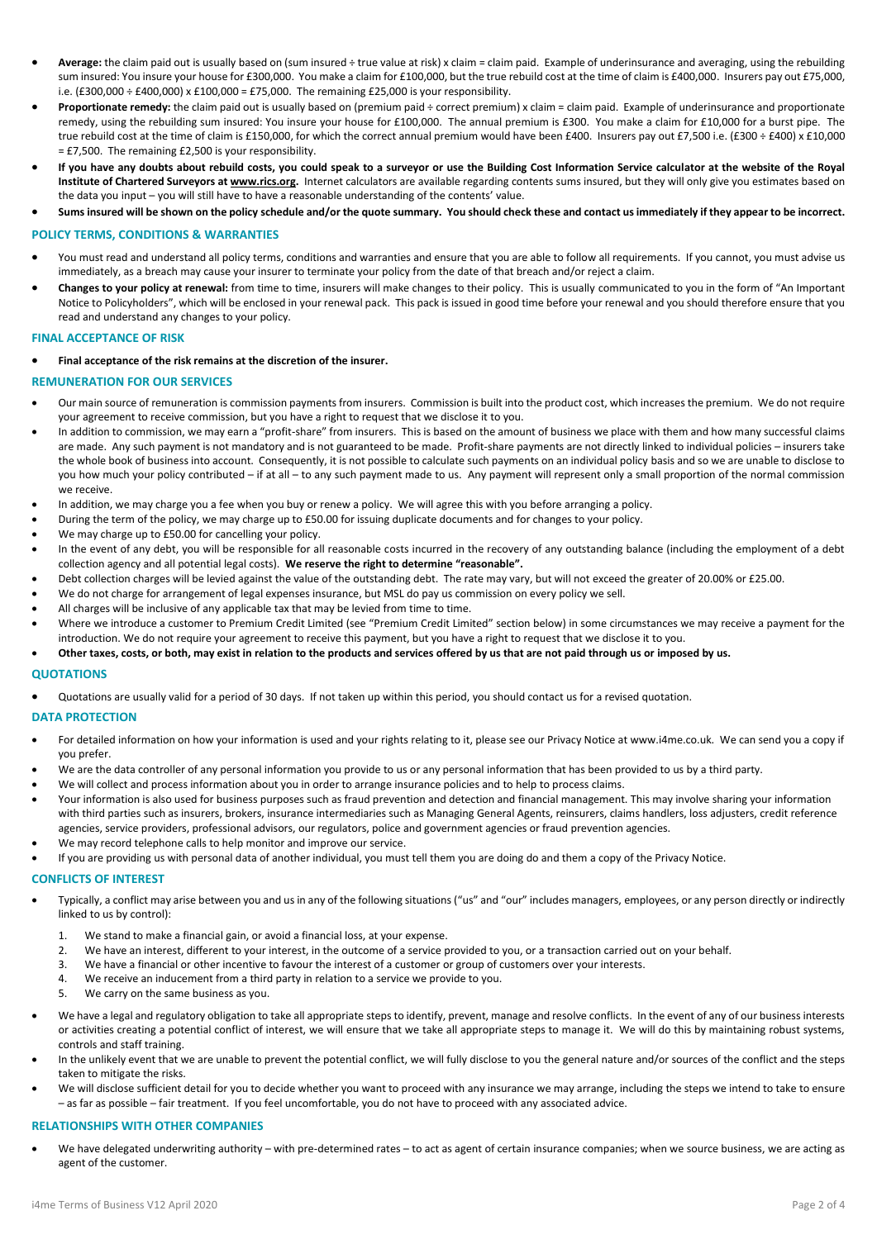- **Average:** the claim paid out is usually based on (sum insured ÷ true value at risk) x claim = claim paid. Example of underinsurance and averaging, using the rebuilding sum insured: You insure your house for £300,000. You make a claim for £100,000, but the true rebuild cost at the time of claim is £400,000. Insurers pay out £75,000, i.e. (£300,000 ÷ £400,000) x £100,000 = £75,000. The remaining £25,000 is your responsibility.
- **Proportionate remedy:** the claim paid out is usually based on (premium paid ÷ correct premium) x claim = claim paid. Example of underinsurance and proportionate remedy, using the rebuilding sum insured: You insure your house for £100,000. The annual premium is £300. You make a claim for £10,000 for a burst pipe. The true rebuild cost at the time of claim is £150,000, for which the correct annual premium would have been £400. Insurers pay out £7,500 i.e. (£300 ÷ £400) x £10,000 = £7,500. The remaining £2,500 is your responsibility.
- **If you have any doubts about rebuild costs, you could speak to a surveyor or use the Building Cost Information Service calculator at the website of the Royal Institute of Chartered Surveyors at www.rics.org.** Internet calculators are available regarding contents sums insured, but they will only give you estimates based on the data you input – you will still have to have a reasonable understanding of the contents' value.
- **Sums insured will be shown on the policy schedule and/or the quote summary. You should check these and contact us immediately if they appear to be incorrect.**

## **POLICY TERMS, CONDITIONS & WARRANTIES**

- You must read and understand all policy terms, conditions and warranties and ensure that you are able to follow all requirements. If you cannot, you must advise us immediately, as a breach may cause your insurer to terminate your policy from the date of that breach and/or reject a claim.
- **Changes to your policy at renewal:** from time to time, insurers will make changes to their policy. This is usually communicated to you in the form of "An Important Notice to Policyholders", which will be enclosed in your renewal pack. This pack is issued in good time before your renewal and you should therefore ensure that you read and understand any changes to your policy.

#### **FINAL ACCEPTANCE OF RISK**

## • **Final acceptance of the risk remains at the discretion of the insurer.**

#### **REMUNERATION FOR OUR SERVICES**

- Our main source of remuneration is commission payments from insurers. Commission is built into the product cost, which increases the premium. We do not require your agreement to receive commission, but you have a right to request that we disclose it to you.
- In addition to commission, we may earn a "profit-share" from insurers. This is based on the amount of business we place with them and how many successful claims are made. Any such payment is not mandatory and is not guaranteed to be made. Profit-share payments are not directly linked to individual policies – insurers take the whole book of business into account. Consequently, it is not possible to calculate such payments on an individual policy basis and so we are unable to disclose to you how much your policy contributed – if at all – to any such payment made to us. Any payment will represent only a small proportion of the normal commission we receive.
- In addition, we may charge you a fee when you buy or renew a policy. We will agree this with you before arranging a policy.
- During the term of the policy, we may charge up to £50.00 for issuing duplicate documents and for changes to your policy.
- We may charge up to £50.00 for cancelling your policy.
- In the event of any debt, you will be responsible for all reasonable costs incurred in the recovery of any outstanding balance (including the employment of a debt collection agency and all potential legal costs). **We reserve the right to determine "reasonable".**
- Debt collection charges will be levied against the value of the outstanding debt. The rate may vary, but will not exceed the greater of 20.00% or £25.00.
- We do not charge for arrangement of legal expenses insurance, but MSL do pay us commission on every policy we sell.
- All charges will be inclusive of any applicable tax that may be levied from time to time.
- Where we introduce a customer to Premium Credit Limited (see "Premium Credit Limited" section below) in some circumstances we may receive a payment for the introduction. We do not require your agreement to receive this payment, but you have a right to request that we disclose it to you.
- **Other taxes, costs, or both, may exist in relation to the products and services offered by us that are not paid through us or imposed by us.**

## **QUOTATIONS**

• Quotations are usually valid for a period of 30 days. If not taken up within this period, you should contact us for a revised quotation.

#### **DATA PROTECTION**

- For detailed information on how your information is used and your rights relating to it, please see our Privacy Notice at www.i4me.co.uk. We can send you a copy if you prefer.
- We are the data controller of any personal information you provide to us or any personal information that has been provided to us by a third party.
- We will collect and process information about you in order to arrange insurance policies and to help to process claims.
- Your information is also used for business purposes such as fraud prevention and detection and financial management. This may involve sharing your information with third parties such as insurers, brokers, insurance intermediaries such as Managing General Agents, reinsurers, claims handlers, loss adjusters, credit reference agencies, service providers, professional advisors, our regulators, police and government agencies or fraud prevention agencies.
- We may record telephone calls to help monitor and improve our service.
- If you are providing us with personal data of another individual, you must tell them you are doing do and them a copy of the Privacy Notice.

#### **CONFLICTS OF INTEREST**

- Typically, a conflict may arise between you and us in any of the following situations ("us" and "our" includes managers, employees, or any person directly or indirectly linked to us by control):
	- 1. We stand to make a financial gain, or avoid a financial loss, at your expense.
	- 2. We have an interest, different to your interest, in the outcome of a service provided to you, or a transaction carried out on your behalf.
	- 3. We have a financial or other incentive to favour the interest of a customer or group of customers over your interests.
	- 4. We receive an inducement from a third party in relation to a service we provide to you.
	- 5. We carry on the same business as you.
- We have a legal and regulatory obligation to take all appropriate steps to identify, prevent, manage and resolve conflicts. In the event of any of our business interests or activities creating a potential conflict of interest, we will ensure that we take all appropriate steps to manage it. We will do this by maintaining robust systems, controls and staff training.
- In the unlikely event that we are unable to prevent the potential conflict, we will fully disclose to you the general nature and/or sources of the conflict and the steps taken to mitigate the risks.
- We will disclose sufficient detail for you to decide whether you want to proceed with any insurance we may arrange, including the steps we intend to take to ensure – as far as possible – fair treatment. If you feel uncomfortable, you do not have to proceed with any associated advice.

#### **RELATIONSHIPS WITH OTHER COMPANIES**

• We have delegated underwriting authority – with pre-determined rates – to act as agent of certain insurance companies; when we source business, we are acting as agent of the customer.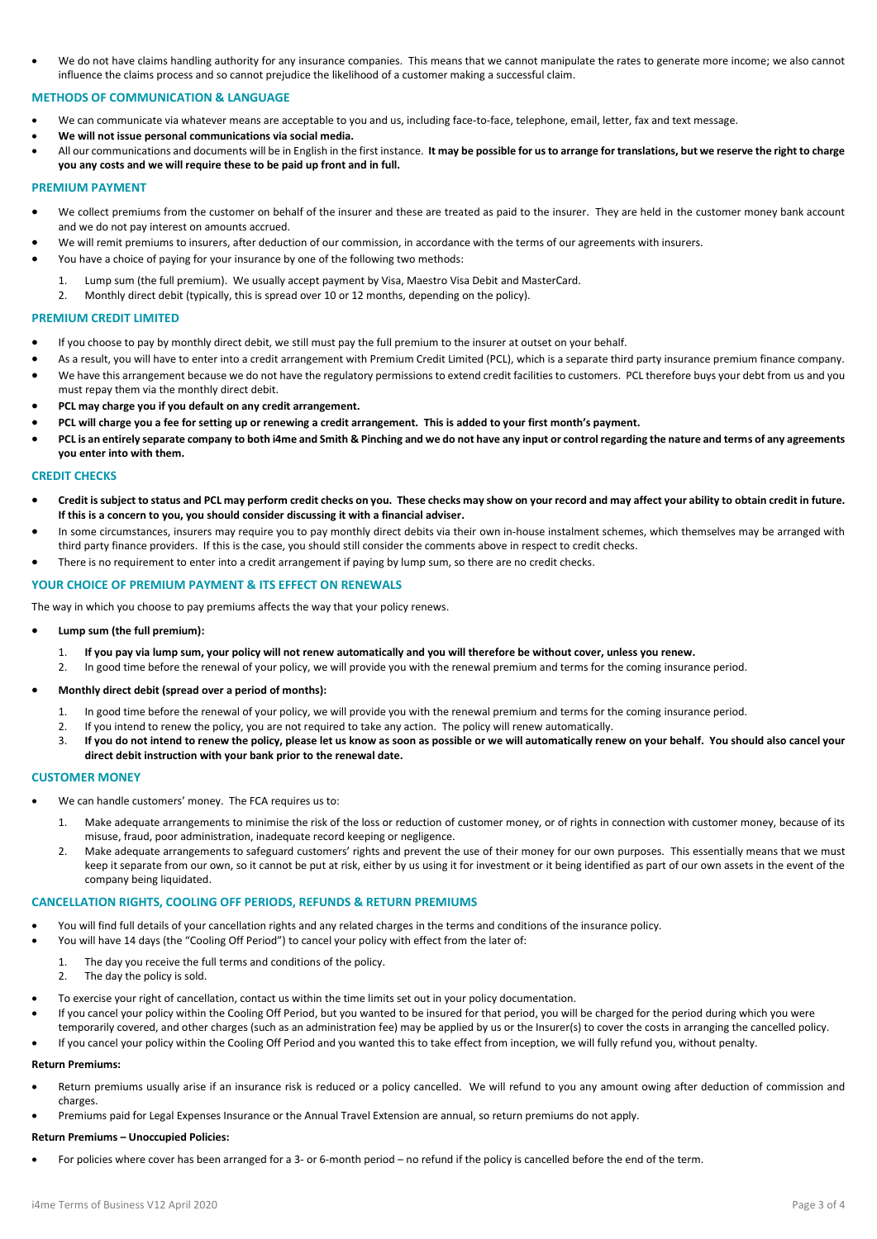• We do not have claims handling authority for any insurance companies. This means that we cannot manipulate the rates to generate more income; we also cannot influence the claims process and so cannot prejudice the likelihood of a customer making a successful claim.

## **METHODS OF COMMUNICATION & LANGUAGE**

- We can communicate via whatever means are acceptable to you and us, including face-to-face, telephone, email, letter, fax and text message.
- **We will not issue personal communications via social media.**
- All our communications and documents will be in English in the first instance. **It may be possible for us to arrange for translations, but we reserve the right to charge you any costs and we will require these to be paid up front and in full.**

#### **PREMIUM PAYMENT**

- We collect premiums from the customer on behalf of the insurer and these are treated as paid to the insurer. They are held in the customer money bank account and we do not pay interest on amounts accrued.
- We will remit premiums to insurers, after deduction of our commission, in accordance with the terms of our agreements with insurers.
- You have a choice of paying for your insurance by one of the following two methods:
	- 1. Lump sum (the full premium). We usually accept payment by Visa, Maestro Visa Debit and MasterCard.
	- 2. Monthly direct debit (typically, this is spread over 10 or 12 months, depending on the policy).

## **PREMIUM CREDIT LIMITED**

- If you choose to pay by monthly direct debit, we still must pay the full premium to the insurer at outset on your behalf.
- As a result, you will have to enter into a credit arrangement with Premium Credit Limited (PCL), which is a separate third party insurance premium finance company. • We have this arrangement because we do not have the regulatory permissions to extend credit facilities to customers. PCL therefore buys your debt from us and you
- must repay them via the monthly direct debit.
- **PCL may charge you if you default on any credit arrangement.**
- **PCL will charge you a fee for setting up or renewing a credit arrangement. This is added to your first month's payment.**
- **PCL is an entirely separate company to both i4me and Smith & Pinching and we do not have any input or control regarding the nature and terms of any agreements you enter into with them.**

## **CREDIT CHECKS**

- **Credit is subject to status and PCL may perform credit checks on you. These checks may show on your record and may affect your ability to obtain credit in future. If this is a concern to you, you should consider discussing it with a financial adviser.**
- In some circumstances, insurers may require you to pay monthly direct debits via their own in-house instalment schemes, which themselves may be arranged with third party finance providers. If this is the case, you should still consider the comments above in respect to credit checks.
- There is no requirement to enter into a credit arrangement if paying by lump sum, so there are no credit checks.

#### **YOUR CHOICE OF PREMIUM PAYMENT & ITS EFFECT ON RENEWALS**

The way in which you choose to pay premiums affects the way that your policy renews.

- **Lump sum (the full premium):** 
	- 1. **If you pay via lump sum, your policy will not renew automatically and you will therefore be without cover, unless you renew.**
	- 2. In good time before the renewal of your policy, we will provide you with the renewal premium and terms for the coming insurance period.

## • **Monthly direct debit (spread over a period of months):**

- 1. In good time before the renewal of your policy, we will provide you with the renewal premium and terms for the coming insurance period.
- 2. If you intend to renew the policy, you are not required to take any action. The policy will renew automatically.
- 3. **If you do not intend to renew the policy, please let us know as soon as possible or we will automatically renew on your behalf. You should also cancel your direct debit instruction with your bank prior to the renewal date.**

## **CUSTOMER MONEY**

- We can handle customers' money. The FCA requires us to:
	- 1. Make adequate arrangements to minimise the risk of the loss or reduction of customer money, or of rights in connection with customer money, because of its misuse, fraud, poor administration, inadequate record keeping or negligence.
	- 2. Make adequate arrangements to safeguard customers' rights and prevent the use of their money for our own purposes. This essentially means that we must keep it separate from our own, so it cannot be put at risk, either by us using it for investment or it being identified as part of our own assets in the event of the company being liquidated.

## **CANCELLATION RIGHTS, COOLING OFF PERIODS, REFUNDS & RETURN PREMIUMS**

- You will find full details of your cancellation rights and any related charges in the terms and conditions of the insurance policy.
- You will have 14 days (the "Cooling Off Period") to cancel your policy with effect from the later of:
	- 1. The day you receive the full terms and conditions of the policy.<br>
	The day the nolicy is sold.
	- The day the policy is sold.
- To exercise your right of cancellation, contact us within the time limits set out in your policy documentation.
- If you cancel your policy within the Cooling Off Period, but you wanted to be insured for that period, you will be charged for the period during which you were temporarily covered, and other charges (such as an administration fee) may be applied by us or the Insurer(s) to cover the costs in arranging the cancelled policy.
- If you cancel your policy within the Cooling Off Period and you wanted this to take effect from inception, we will fully refund you, without penalty.

## **Return Premiums:**

- Return premiums usually arise if an insurance risk is reduced or a policy cancelled. We will refund to you any amount owing after deduction of commission and charges.
- Premiums paid for Legal Expenses Insurance or the Annual Travel Extension are annual, so return premiums do not apply.

#### **Return Premiums – Unoccupied Policies:**

• For policies where cover has been arranged for a 3- or 6-month period – no refund if the policy is cancelled before the end of the term.